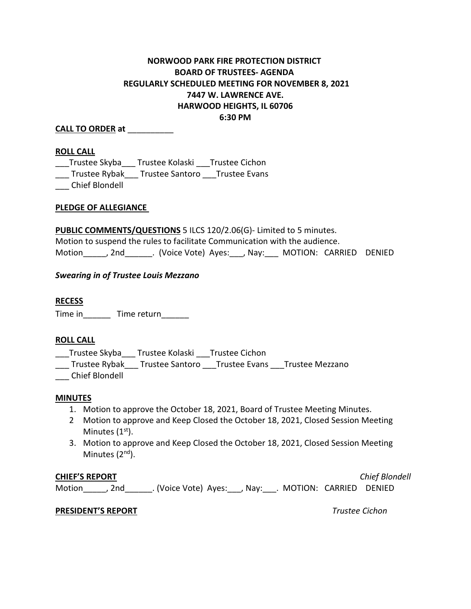# **NORWOOD PARK FIRE PROTECTION DISTRICT BOARD OF TRUSTEES- AGENDA REGULARLY SCHEDULED MEETING FOR NOVEMBER 8, 2021 7447 W. LAWRENCE AVE. HARWOOD HEIGHTS, IL 60706 6:30 PM**

### **CALL TO ORDER at** \_\_\_\_\_\_\_\_\_\_

#### **ROLL CALL**

\_\_\_Trustee Skyba\_\_\_ Trustee Kolaski \_\_\_Trustee Cichon \_\_\_ Trustee Rybak\_\_\_ Trustee Santoro \_\_\_Trustee Evans \_\_\_ Chief Blondell

#### **PLEDGE OF ALLEGIANCE**

**PUBLIC COMMENTS/QUESTIONS** 5 ILCS 120/2.06(G)- Limited to 5 minutes. Motion to suspend the rules to facilitate Communication with the audience. Motion dia all voice Vote) Ayes: dia average MOTION: CARRIED DENIED

### *Swearing in of Trustee Louis Mezzano*

#### **RECESS**

Time in \_\_\_\_\_\_\_ Time return \_\_\_\_\_\_

#### **ROLL CALL**

\_\_\_Trustee Skyba\_\_\_ Trustee Kolaski \_\_\_Trustee Cichon

\_\_\_ Trustee Rybak\_\_\_ Trustee Santoro \_\_\_Trustee Evans \_\_\_Trustee Mezzano

\_\_\_ Chief Blondell

#### **MINUTES**

- 1. Motion to approve the October 18, 2021, Board of Trustee Meeting Minutes.
- 2 Motion to approve and Keep Closed the October 18, 2021, Closed Session Meeting Minutes  $(1<sup>st</sup>)$ .
- 3. Motion to approve and Keep Closed the October 18, 2021, Closed Session Meeting Minutes (2<sup>nd</sup>).

#### **CHIEF'S REPORT** *Chief Blondell*

Motion dia . (Voice Vote) Ayes: dia , May: dia . MOTION: CARRIED DENIED

#### **PRESIDENT'S REPORT** *Trustee Cichon*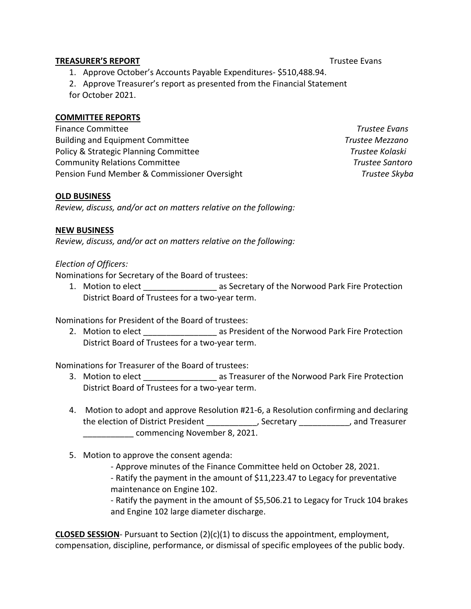### **TREASURER'S REPORT** TREASURER'S **REPORT**

- 1. Approve October's Accounts Payable Expenditures- \$510,488.94.
- 2. Approve Treasurer's report as presented from the Financial Statement
- for October 2021.

## **COMMITTEE REPORTS**

Finance Committee *Trustee Evans*  Building and Equipment Committee *Trustee Mezzano* Policy & Strategic Planning Committee **The Community Community** Trustee Kolaski Community Relations Committee *Trustee Santoro* Pension Fund Member & Commissioner Oversight *Trustee Skyba*

### **OLD BUSINESS**

*Review, discuss, and/or act on matters relative on the following:*

## **NEW BUSINESS**

*Review, discuss, and/or act on matters relative on the following:*

## *Election of Officers:*

Nominations for Secretary of the Board of trustees:

1. Motion to elect **1. Accord 2.5 as Secretary of the Norwood Park Fire Protection** District Board of Trustees for a two-year term.

Nominations for President of the Board of trustees:

2. Motion to elect elect as President of the Norwood Park Fire Protection District Board of Trustees for a two-year term.

Nominations for Treasurer of the Board of trustees:

- 3. Motion to elect **Same Compart is a constructed as Treasurer of the Norwood Park Fire Protection** District Board of Trustees for a two-year term.
- 4. Motion to adopt and approve Resolution #21-6, a Resolution confirming and declaring the election of District President \_\_\_\_\_\_\_\_\_\_\_, Secretary \_\_\_\_\_\_\_\_\_\_\_, and Treasurer \_\_\_\_\_\_\_\_\_\_\_ commencing November 8, 2021.
- 5. Motion to approve the consent agenda:
	- Approve minutes of the Finance Committee held on October 28, 2021.
	- Ratify the payment in the amount of \$11,223.47 to Legacy for preventative maintenance on Engine 102.

- Ratify the payment in the amount of \$5,506.21 to Legacy for Truck 104 brakes and Engine 102 large diameter discharge.

**CLOSED SESSION**- Pursuant to Section (2)(c)(1) to discuss the appointment, employment, compensation, discipline, performance, or dismissal of specific employees of the public body.